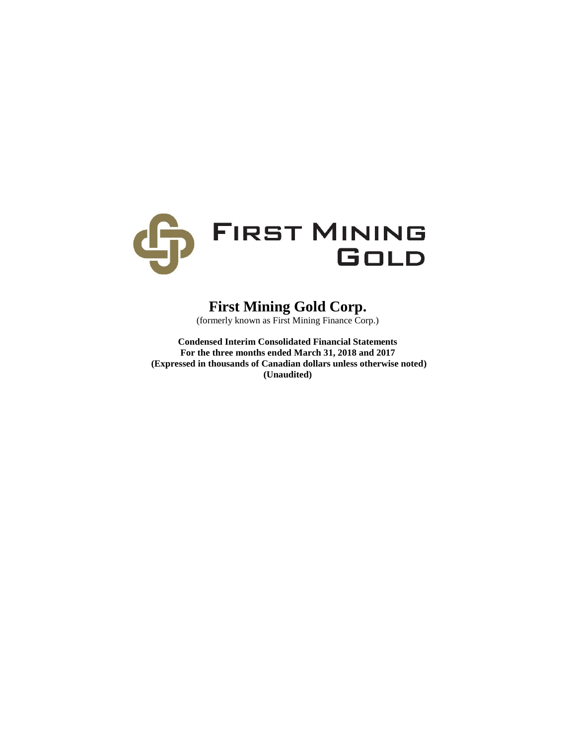

# **First Mining Gold Corp.**

(formerly known as First Mining Finance Corp.)

**Condensed Interim Consolidated Financial Statements For the three months ended March 31, 2018 and 2017 (Expressed in thousands of Canadian dollars unless otherwise noted) (Unaudited)**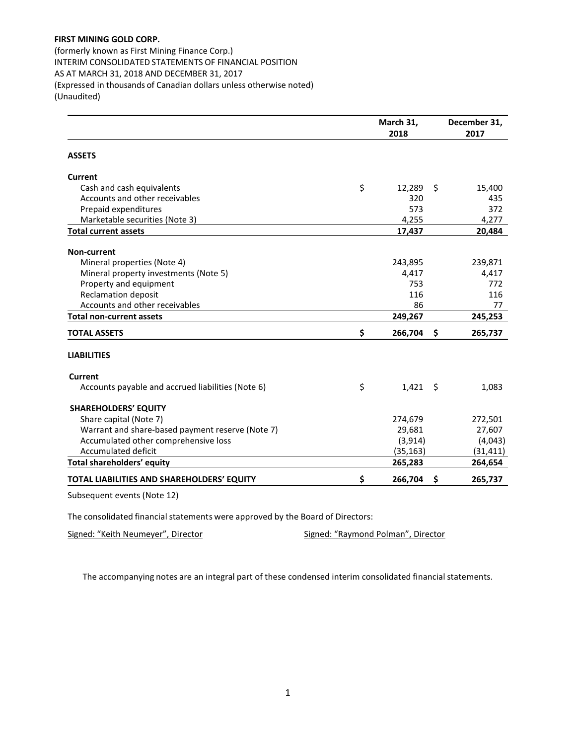(formerly known as First Mining Finance Corp.) INTERIM CONSOLIDATED STATEMENTS OF FINANCIAL POSITION AS AT MARCH 31, 2018 AND DECEMBER 31, 2017 (Expressed in thousands of Canadian dollars unless otherwise noted) (Unaudited)

|                                                   | March 31,        |      | December 31, |
|---------------------------------------------------|------------------|------|--------------|
|                                                   | 2018             |      | 2017         |
| <b>ASSETS</b>                                     |                  |      |              |
| Current                                           |                  |      |              |
| Cash and cash equivalents                         | \$<br>12,289     | \$   | 15,400       |
| Accounts and other receivables                    | 320              |      | 435          |
| Prepaid expenditures                              | 573              |      | 372          |
| Marketable securities (Note 3)                    | 4,255            |      | 4,277        |
| <b>Total current assets</b>                       | 17,437           |      | 20,484       |
| <b>Non-current</b>                                |                  |      |              |
| Mineral properties (Note 4)                       | 243,895          |      | 239,871      |
| Mineral property investments (Note 5)             | 4,417            |      | 4,417        |
| Property and equipment                            | 753              |      | 772          |
| <b>Reclamation deposit</b>                        | 116              |      | 116          |
| Accounts and other receivables                    | 86               |      | 77           |
| <b>Total non-current assets</b>                   | 249,267          |      | 245,253      |
| <b>TOTAL ASSETS</b>                               | \$<br>266,704    | - \$ | 265,737      |
| <b>LIABILITIES</b>                                |                  |      |              |
| <b>Current</b>                                    |                  |      |              |
| Accounts payable and accrued liabilities (Note 6) | \$<br>$1,421$ \$ |      | 1,083        |
| <b>SHAREHOLDERS' EQUITY</b>                       |                  |      |              |
| Share capital (Note 7)                            | 274,679          |      | 272,501      |
| Warrant and share-based payment reserve (Note 7)  | 29,681           |      | 27,607       |
| Accumulated other comprehensive loss              | (3, 914)         |      | (4,043)      |
| Accumulated deficit                               | (35, 163)        |      | (31, 411)    |
| <b>Total shareholders' equity</b>                 | 265,283          |      | 264,654      |
| TOTAL LIABILITIES AND SHAREHOLDERS' EQUITY        | \$<br>266,704    | \$   | 265,737      |
| Subsequent events (Note 12)                       |                  |      |              |

The consolidated financial statements were approved by the Board of Directors:

Signed: "Keith Neumeyer", Director Signed: "Raymond Polman", Director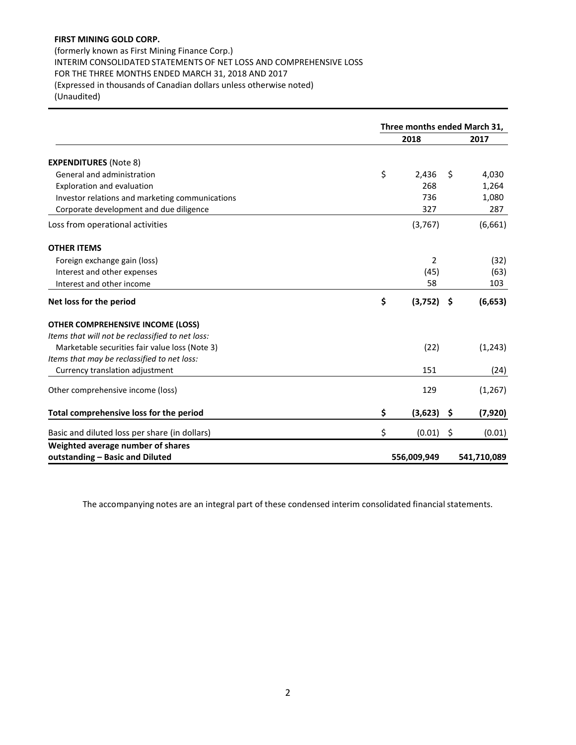(formerly known as First Mining Finance Corp.) INTERIM CONSOLIDATED STATEMENTS OF NET LOSS AND COMPREHENSIVE LOSS FOR THE THREE MONTHS ENDED MARCH 31, 2018 AND 2017 (Expressed in thousands of Canadian dollars unless otherwise noted) (Unaudited)

|                                                  | Three months ended March 31, |              |         |             |
|--------------------------------------------------|------------------------------|--------------|---------|-------------|
|                                                  |                              | 2018         |         | 2017        |
| <b>EXPENDITURES (Note 8)</b>                     |                              |              |         |             |
| General and administration                       | \$                           | 2,436        | \$      | 4,030       |
| Exploration and evaluation                       |                              | 268          |         | 1,264       |
| Investor relations and marketing communications  |                              | 736          |         | 1,080       |
| Corporate development and due diligence          |                              | 327          |         | 287         |
| Loss from operational activities                 |                              | (3,767)      |         | (6,661)     |
| <b>OTHER ITEMS</b>                               |                              |              |         |             |
| Foreign exchange gain (loss)                     |                              | 2            |         | (32)        |
| Interest and other expenses                      |                              | (45)         |         | (63)        |
| Interest and other income                        |                              | 58           |         | 103         |
| Net loss for the period                          | \$                           | $(3,752)$ \$ |         | (6, 653)    |
| <b>OTHER COMPREHENSIVE INCOME (LOSS)</b>         |                              |              |         |             |
| Items that will not be reclassified to net loss: |                              |              |         |             |
| Marketable securities fair value loss (Note 3)   |                              | (22)         |         | (1, 243)    |
| Items that may be reclassified to net loss:      |                              |              |         |             |
| Currency translation adjustment                  |                              | 151          |         | (24)        |
| Other comprehensive income (loss)                |                              | 129          |         | (1, 267)    |
| Total comprehensive loss for the period          | \$                           | $(3,623)$ \$ |         | (7, 920)    |
| Basic and diluted loss per share (in dollars)    | \$                           | (0.01)       | $\zeta$ | (0.01)      |
| Weighted average number of shares                |                              |              |         |             |
| outstanding - Basic and Diluted                  |                              | 556,009,949  |         | 541,710,089 |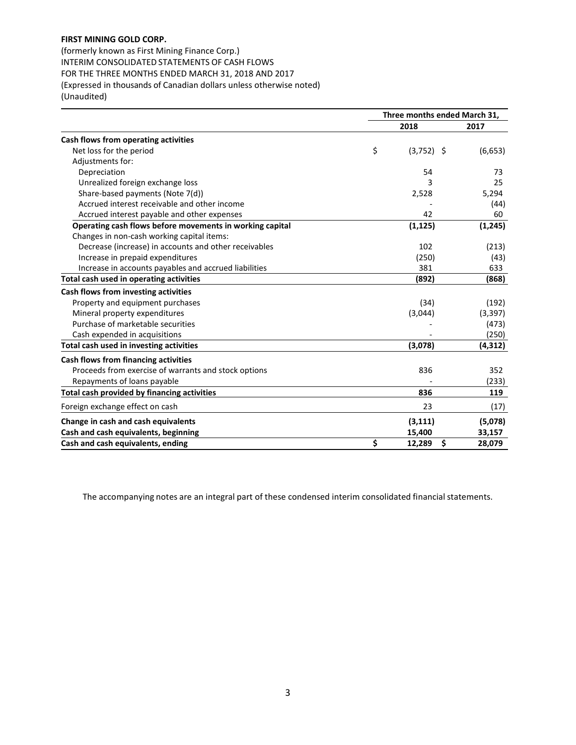(formerly known as First Mining Finance Corp.) INTERIM CONSOLIDATED STATEMENTS OF CASH FLOWS FOR THE THREE MONTHS ENDED MARCH 31, 2018 AND 2017 (Expressed in thousands of Canadian dollars unless otherwise noted) (Unaudited)

|                                                          | Three months ended March 31, |          |  |
|----------------------------------------------------------|------------------------------|----------|--|
|                                                          | 2018                         | 2017     |  |
| Cash flows from operating activities                     |                              |          |  |
| Net loss for the period                                  | \$<br>$(3,752)$ \$           | (6,653)  |  |
| Adjustments for:                                         |                              |          |  |
| Depreciation                                             | 54                           | 73       |  |
| Unrealized foreign exchange loss                         | 3                            | 25       |  |
| Share-based payments (Note 7(d))                         | 2,528                        | 5,294    |  |
| Accrued interest receivable and other income             |                              | (44)     |  |
| Accrued interest payable and other expenses              | 42                           | 60       |  |
| Operating cash flows before movements in working capital | (1, 125)                     | (1, 245) |  |
| Changes in non-cash working capital items:               |                              |          |  |
| Decrease (increase) in accounts and other receivables    | 102                          | (213)    |  |
| Increase in prepaid expenditures                         | (250)                        | (43)     |  |
| Increase in accounts payables and accrued liabilities    | 381                          | 633      |  |
| Total cash used in operating activities                  | (892)                        | (868)    |  |
| Cash flows from investing activities                     |                              |          |  |
| Property and equipment purchases                         | (34)                         | (192)    |  |
| Mineral property expenditures                            | (3,044)                      | (3, 397) |  |
| Purchase of marketable securities                        |                              | (473)    |  |
| Cash expended in acquisitions                            |                              | (250)    |  |
| Total cash used in investing activities                  | (3,078)                      | (4, 312) |  |
| Cash flows from financing activities                     |                              |          |  |
| Proceeds from exercise of warrants and stock options     | 836                          | 352      |  |
| Repayments of loans payable                              |                              | (233)    |  |
| Total cash provided by financing activities              | 836                          | 119      |  |
| Foreign exchange effect on cash                          | 23                           | (17)     |  |
| Change in cash and cash equivalents                      | (3, 111)                     | (5,078)  |  |
| Cash and cash equivalents, beginning                     | 15,400                       | 33,157   |  |
| Cash and cash equivalents, ending                        | \$<br>\$<br>12,289           | 28,079   |  |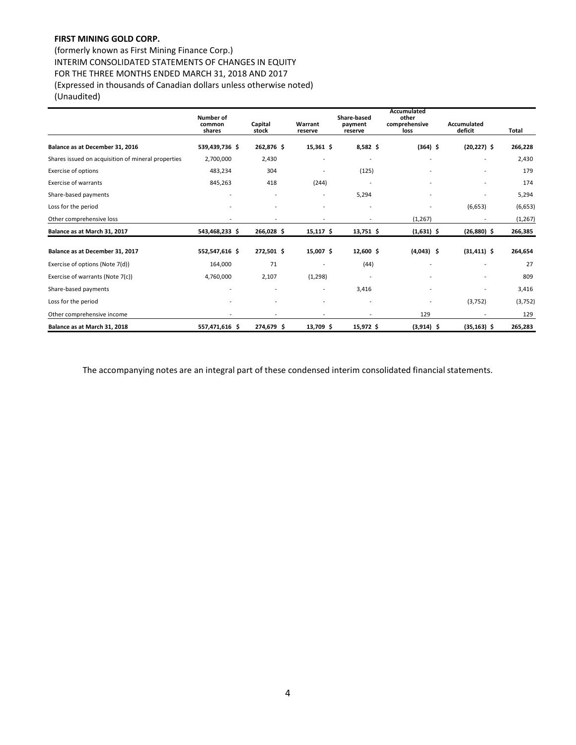(formerly known as First Mining Finance Corp.) INTERIM CONSOLIDATED STATEMENTS OF CHANGES IN EQUITY FOR THE THREE MONTHS ENDED MARCH 31, 2018 AND 2017 (Expressed in thousands of Canadian dollars unless otherwise noted) (Unaudited)

|                                                    | Number of<br>common<br>shares | Capital<br>stock         | Warrant<br>reserve       | Share-based<br>payment<br>reserve | Accumulated<br>other<br>comprehensive<br>loss | Accumulated<br>deficit | <b>Total</b> |
|----------------------------------------------------|-------------------------------|--------------------------|--------------------------|-----------------------------------|-----------------------------------------------|------------------------|--------------|
| Balance as at December 31, 2016                    | 539,439,736 \$                | 262,876 \$               | $15,361$ \$              | $8,582$ \$                        | $(364)$ \$                                    | $(20, 227)$ \$         | 266,228      |
| Shares issued on acquisition of mineral properties | 2,700,000                     | 2,430                    | $\overline{a}$           |                                   |                                               |                        | 2,430        |
| Exercise of options                                | 483,234                       | 304                      | $\overline{a}$           | (125)                             |                                               |                        | 179          |
| <b>Exercise of warrants</b>                        | 845,263                       | 418                      | (244)                    | $\overline{\phantom{a}}$          |                                               |                        | 174          |
| Share-based payments                               | $\overline{a}$                |                          | $\overline{\phantom{a}}$ | 5,294                             |                                               |                        | 5,294        |
| Loss for the period                                |                               |                          |                          |                                   |                                               | (6,653)                | (6,653)      |
| Other comprehensive loss                           |                               |                          |                          |                                   | (1, 267)                                      |                        | (1, 267)     |
| Balance as at March 31, 2017                       | 543,468,233 \$                | 266,028\$                | $15,117$ \$              | 13,751 \$                         | $(1,631)$ \$                                  | $(26,880)$ \$          | 266,385      |
| Balance as at December 31, 2017                    | 552,547,616 \$                | 272,501 \$               | 15,007 \$                | $12,600$ \$                       | $(4,043)$ \$                                  | $(31, 411)$ \$         | 264,654      |
| Exercise of options (Note 7(d))                    | 164,000                       | 71                       | $\overline{\phantom{0}}$ | (44)                              |                                               |                        | 27           |
| Exercise of warrants (Note 7(c))                   | 4,760,000                     | 2,107                    | (1,298)                  | $\overline{\phantom{a}}$          |                                               |                        | 809          |
| Share-based payments                               | $\overline{a}$                | $\overline{\phantom{a}}$ | $\overline{\phantom{a}}$ | 3,416                             | $\overline{a}$                                |                        | 3,416        |
| Loss for the period                                |                               |                          | $\overline{\phantom{a}}$ | ÷                                 |                                               | (3,752)                | (3,752)      |
| Other comprehensive income                         |                               |                          |                          |                                   | 129                                           |                        | 129          |
| Balance as at March 31, 2018                       | 557,471,616 \$                | 274,679 \$               | 13,709 \$                | 15,972 \$                         | $(3,914)$ \$                                  | $(35, 163)$ \$         | 265,283      |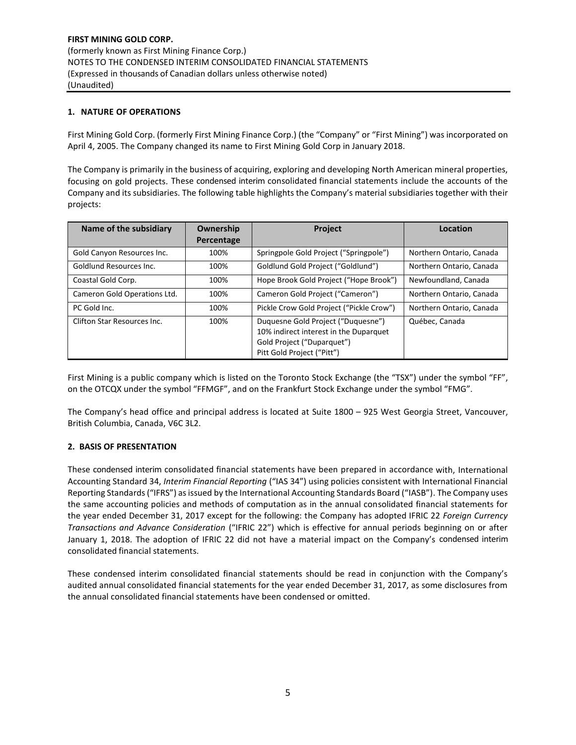## **1. NATURE OF OPERATIONS**

First Mining Gold Corp. (formerly First Mining Finance Corp.) (the "Company" or "First Mining") was incorporated on April 4, 2005. The Company changed its name to First Mining Gold Corp in January 2018.

The Company is primarily in the business of acquiring, exploring and developing North American mineral properties, focusing on gold projects. These condensed interim consolidated financial statements include the accounts of the Company and its subsidiaries. The following table highlights the Company's material subsidiaries together with their projects:

| Name of the subsidiary       | Ownership<br>Percentage | Project                                                                                                                                  | Location                 |
|------------------------------|-------------------------|------------------------------------------------------------------------------------------------------------------------------------------|--------------------------|
|                              |                         |                                                                                                                                          |                          |
| Gold Canyon Resources Inc.   | 100%                    | Springpole Gold Project ("Springpole")                                                                                                   | Northern Ontario, Canada |
| Goldlund Resources Inc.      | 100%                    | Goldlund Gold Project ("Goldlund")                                                                                                       | Northern Ontario, Canada |
| Coastal Gold Corp.           | 100%                    | Hope Brook Gold Project ("Hope Brook")                                                                                                   | Newfoundland, Canada     |
| Cameron Gold Operations Ltd. | 100%                    | Cameron Gold Project ("Cameron")                                                                                                         | Northern Ontario, Canada |
| PC Gold Inc.                 | 100%                    | Pickle Crow Gold Project ("Pickle Crow")                                                                                                 | Northern Ontario, Canada |
| Clifton Star Resources Inc.  | 100%                    | Duquesne Gold Project ("Duquesne")<br>10% indirect interest in the Duparquet<br>Gold Project ("Duparquet")<br>Pitt Gold Project ("Pitt") | Québec, Canada           |

First Mining is a public company which is listed on the Toronto Stock Exchange (the "TSX") under the symbol "FF", on the OTCQX under the symbol "FFMGF", and on the Frankfurt Stock Exchange under the symbol "FMG".

The Company's head office and principal address is located at Suite 1800 – 925 West Georgia Street, Vancouver, British Columbia, Canada, V6C 3L2.

## **2. BASIS OF PRESENTATION**

These condensed interim consolidated financial statements have been prepared in accordance with, International Accounting Standard 34, *Interim Financial Reporting* ("IAS 34") using policies consistent with International Financial Reporting Standards ("IFRS") as issued by the International Accounting Standards Board ("IASB"). The Company uses the same accounting policies and methods of computation as in the annual consolidated financial statements for the year ended December 31, 2017 except for the following: the Company has adopted IFRIC 22 *Foreign Currency Transactions and Advance Consideration* ("IFRIC 22") which is effective for annual periods beginning on or after January 1, 2018. The adoption of IFRIC 22 did not have a material impact on the Company's condensed interim consolidated financial statements.

These condensed interim consolidated financial statements should be read in conjunction with the Company's audited annual consolidated financial statements for the year ended December 31, 2017, as some disclosures from the annual consolidated financial statements have been condensed or omitted.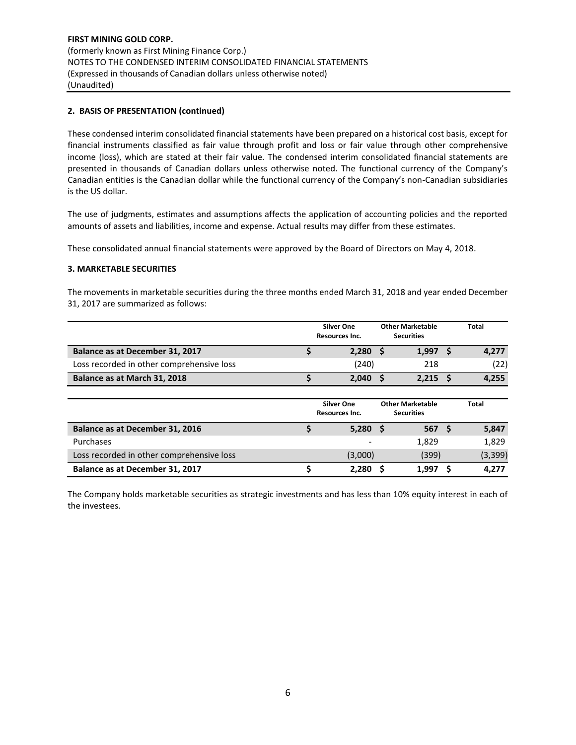## **2. BASIS OF PRESENTATION (continued)**

These condensed interim consolidated financial statements have been prepared on a historical cost basis, except for financial instruments classified as fair value through profit and loss or fair value through other comprehensive income (loss), which are stated at their fair value. The condensed interim consolidated financial statements are presented in thousands of Canadian dollars unless otherwise noted. The functional currency of the Company's Canadian entities is the Canadian dollar while the functional currency of the Company's non-Canadian subsidiaries is the US dollar.

The use of judgments, estimates and assumptions affects the application of accounting policies and the reported amounts of assets and liabilities, income and expense. Actual results may differ from these estimates.

These consolidated annual financial statements were approved by the Board of Directors on May 4, 2018.

#### **3. MARKETABLE SECURITIES**

The movements in marketable securities during the three months ended March 31, 2018 and year ended December 31, 2017 are summarized as follows:

|                                           | <b>Silver One</b><br>Resources Inc.        | <b>Other Marketable</b><br><b>Securities</b> | <b>Total</b> |
|-------------------------------------------|--------------------------------------------|----------------------------------------------|--------------|
| Balance as at December 31, 2017           | $2,280$ \$                                 | 1,997                                        | 4,277        |
| Loss recorded in other comprehensive loss | (240)                                      | 218                                          | (22)         |
| Balance as at March 31, 2018              | 2.040                                      | 2,215                                        | 4,255        |
|                                           | <b>Silver One</b><br><b>Resources Inc.</b> | <b>Other Marketable</b><br>Securities        | <b>Total</b> |

|                                           | <b>Resources Inc.</b> | <b>Securities</b> |          |
|-------------------------------------------|-----------------------|-------------------|----------|
| Balance as at December 31, 2016           | $5,280$ \$            | 567 S             | 5,847    |
| Purchases                                 |                       | 1.829             | 1,829    |
| Loss recorded in other comprehensive loss | (3,000)               | (399)             | (3, 399) |
| Balance as at December 31, 2017           | 2.280                 | 1.997             | 4.277    |

The Company holds marketable securities as strategic investments and has less than 10% equity interest in each of the investees.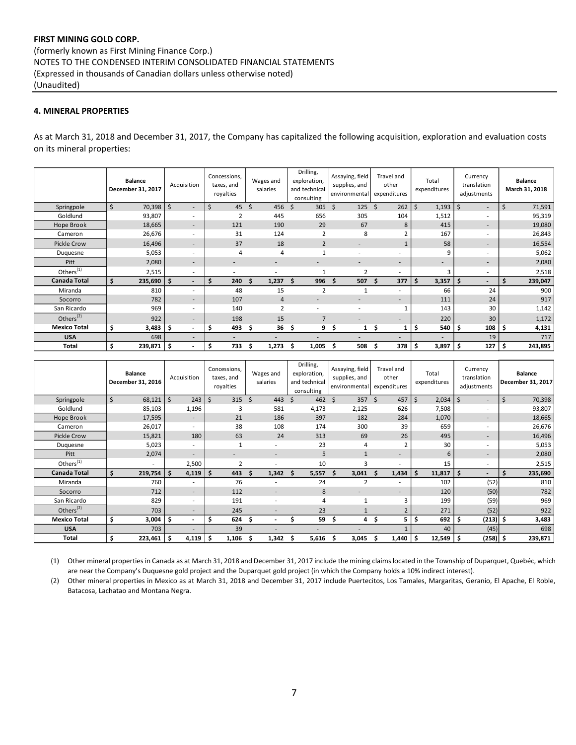## **4. MINERAL PROPERTIES**

As at March 31, 2018 and December 31, 2017, the Company has capitalized the following acquisition, exploration and evaluation costs on its mineral properties:

|                       | <b>Balance</b><br>December 31, 2017 | Acquisition                    | Concessions,<br>taxes, and<br>royalties | Wages and<br>salaries | Drilling,<br>exploration,<br>and technical<br>consulting | Assaying, field<br>supplies, and<br>environmental | Travel and<br>other<br>expenditures | Total<br>expenditures | Currency<br>translation<br>adjustments | <b>Balance</b><br>March 31, 2018 |
|-----------------------|-------------------------------------|--------------------------------|-----------------------------------------|-----------------------|----------------------------------------------------------|---------------------------------------------------|-------------------------------------|-----------------------|----------------------------------------|----------------------------------|
| Springpole            | $\zeta$<br>70,398                   | \$<br>$\overline{\phantom{a}}$ | Ŝ.<br>45                                | \$<br>456             | Ŝ.<br>305                                                | Ŝ.<br>125                                         | Ŝ.<br>262                           | Ś.<br>1,193           | \$<br>$\overline{\phantom{a}}$         | \$<br>71,591                     |
| Goldlund              | 93,807                              | $\sim$                         | $\overline{2}$                          | 445                   | 656                                                      | 305                                               | 104                                 | 1,512                 | $\overline{\phantom{a}}$               | 95,319                           |
| Hope Brook            | 18,665                              | $\overline{\phantom{a}}$       | 121                                     | 190                   | 29                                                       | 67                                                | 8                                   | 415                   | $\overline{\phantom{a}}$               | 19,080                           |
| Cameron               | 26,676                              | $\sim$                         | 31                                      | 124                   | 2                                                        | 8                                                 |                                     | 167                   | $\overline{\phantom{a}}$               | 26,843                           |
| <b>Pickle Crow</b>    | 16,496                              | $\overline{\phantom{a}}$       | 37                                      | 18                    | $\overline{2}$                                           | $\overline{\phantom{a}}$                          | $\mathbf{1}$                        | 58                    | $\overline{\phantom{a}}$               | 16,554                           |
| Duquesne              | 5,053                               | $\sim$                         | $\overline{a}$                          | 4                     | $\overline{1}$                                           |                                                   | $\overline{\phantom{a}}$            | q                     | $\overline{\phantom{a}}$               | 5,062                            |
| Pitt                  | 2,080                               | $\overline{\phantom{a}}$       |                                         |                       |                                                          |                                                   | $\overline{\phantom{a}}$            |                       | $\overline{\phantom{a}}$               | 2,080                            |
| Others <sup>(1)</sup> | 2,515                               | $\overline{\phantom{a}}$       |                                         |                       | $\mathbf{1}$                                             | $\overline{2}$                                    | $\overline{\phantom{a}}$            | 3                     | $\overline{\phantom{a}}$               | 2,518                            |
| <b>Canada Total</b>   | Ś.<br>235,690                       | \$<br>$\overline{\phantom{a}}$ | \$<br>240                               | 1,237<br>S            | 996<br>S                                                 | 507<br>S                                          | 377<br>S                            | Ś.<br>3,357           | \$<br>$\overline{\phantom{a}}$         | 239,047                          |
| Miranda               | 810                                 | $\sim$                         | 48                                      | 15                    | $\overline{2}$                                           |                                                   | $\overline{\phantom{a}}$            | 66                    | 24                                     | 900                              |
| Socorro               | 782                                 | $\overline{\phantom{a}}$       | 107                                     | 4                     |                                                          |                                                   | ٠                                   | 111                   | 24                                     | 917                              |
| San Ricardo           | 969                                 | $\sim$                         | 140                                     | $\overline{2}$        |                                                          |                                                   |                                     | 143                   | 30                                     | 1,142                            |
| Others $(2)$          | 922                                 | $\overline{\phantom{a}}$       | 198                                     | 15                    |                                                          |                                                   | $\overline{\phantom{a}}$            | 220                   | 30 <sup>°</sup>                        | 1,172                            |
| <b>Mexico Total</b>   | \$<br>$3,483$ \$                    | $\overline{\phantom{a}}$       | \$<br>493                               | 36<br>\$.             | 9<br>S                                                   | .s<br>1                                           | S                                   | 540<br>Ŝ              | \$<br>108                              | 4,131                            |
| <b>USA</b>            | 698                                 | $\overline{\phantom{a}}$       |                                         |                       |                                                          |                                                   | -                                   |                       | 19                                     | 717                              |
| Total                 | \$<br>239,871 \$                    | $\overline{\phantom{0}}$       | \$<br>733                               | 1,273<br>S            | 1,005<br>S                                               | 508<br>Ŝ                                          | 378<br>\$.                          | -\$<br>3,897          | \$<br>$127 \mid 5$                     | 243,895                          |

|                       | <b>Balance</b><br>December 31, 2016 | Acquisition              | Concessions,<br>taxes, and<br>royalties | Wages and<br>salaries    | Drilling,<br>exploration,<br>and technical<br>consulting | Assaying, field<br>supplies, and<br>environmental | Travel and<br>other<br>expenditures | Total<br>expenditures | Currency<br>translation<br>adjustments | <b>Balance</b><br>December 31, 2017 |
|-----------------------|-------------------------------------|--------------------------|-----------------------------------------|--------------------------|----------------------------------------------------------|---------------------------------------------------|-------------------------------------|-----------------------|----------------------------------------|-------------------------------------|
| Springpole            | \$<br>68,121                        | $\zeta$<br>243           | \$<br>315                               | \$<br>443                | 462<br>Ś.                                                | Ŝ.<br>357                                         | 457<br>Ś.                           | $\zeta$<br>2,034      | Ŝ.<br>$\overline{\phantom{a}}$         | $\zeta$<br>70,398                   |
| Goldlund              | 85,103                              | 1,196                    | 3                                       | 581                      | 4,173                                                    | 2,125                                             | 626                                 | 7,508                 | $\blacksquare$                         | 93,807                              |
| Hope Brook            | 17,595                              | $\overline{\phantom{a}}$ | 21                                      | 186                      | 397                                                      | 182                                               | 284                                 | 1,070                 | $\overline{\phantom{a}}$               | 18,665                              |
| Cameron               | 26,017                              |                          | 38                                      | 108                      | 174                                                      | 300                                               | 39                                  | 659                   | $\overline{\phantom{a}}$               | 26,676                              |
| <b>Pickle Crow</b>    | 15,821                              | 180                      | 63                                      | 24                       | 313                                                      | 69                                                | 26                                  | 495                   | $\sim$                                 | 16,496                              |
| Duquesne              | 5,023                               |                          |                                         | ٠                        | 23                                                       | 4                                                 |                                     | 30                    | $\overline{\phantom{a}}$               | 5,053                               |
| Pitt                  | 2,074                               | $\sim$                   | $\blacksquare$                          | ٠                        | 5                                                        | $\overline{1}$                                    | -                                   | 6                     | $\overline{\phantom{a}}$               | 2,080                               |
| Others <sup>(1)</sup> |                                     | 2,500                    | $\overline{2}$                          | ٠                        | 10                                                       | 3                                                 | ٠                                   | 15                    | $\overline{\phantom{a}}$               | 2,515                               |
| <b>Canada Total</b>   | 219,754<br>Ś.                       | Ś.<br>4,119              | Ś<br>443                                | 1,342<br>Ś               | 5,557<br>\$.                                             | Ŝ.<br>3,041                                       | 1,434<br>Ŝ.                         | 11,817<br>Ŝ           | Ŝ.<br>$\overline{\phantom{a}}$         | Ś<br>235,690                        |
| Miranda               | 760                                 |                          | 76                                      | ٠                        | 24                                                       | 2                                                 | ٠                                   | 102                   | (52)                                   | 810                                 |
| Socorro               | 712                                 | $\overline{\phantom{a}}$ | 112                                     | $\overline{\phantom{a}}$ | 8                                                        |                                                   | -                                   | 120                   | (50)                                   | 782                                 |
| San Ricardo           | 829                                 | $\overline{\phantom{a}}$ | 191                                     | ٠                        | 4                                                        | 1                                                 | 3                                   | 199                   | (59)                                   | 969                                 |
| Others $(2)$          | 703                                 |                          | 245                                     | ۰                        | 23                                                       |                                                   | $\overline{2}$                      | 271                   | (52)                                   | 922                                 |
| <b>Mexico Total</b>   | Ś<br>3,004                          | \$.                      | 624<br>Ŝ                                | \$.                      | 59                                                       | \$.<br>4                                          | 5.<br>\$.                           | 692<br>\$.            | $(213)$ \$<br>Ŝ                        | 3,483                               |
| <b>USA</b>            | 703                                 |                          | 39                                      |                          |                                                          |                                                   |                                     | 40                    | (45)                                   | 698                                 |
| Total                 | 223,461                             | \$<br>4,119              | \$.<br>1,106                            | \$<br>1,342              | 5,616<br>S                                               | 3,045<br>S                                        | 1,440<br>Ś.                         | 12,549<br>\$.         | $(258)$ \$<br>-S                       | 239,871                             |

(1) Other mineral properties in Canada as at March 31, 2018 and December 31, 2017 include the mining claims located in the Township of Duparquet, Quebéc, which are near the Company's Duquesne gold project and the Duparquet gold project (in which the Company holds a 10% indirect interest).

(2) Other mineral properties in Mexico as at March 31, 2018 and December 31, 2017 include Puertecitos, Los Tamales, Margaritas, Geranio, El Apache, El Roble, Batacosa, Lachatao and Montana Negra.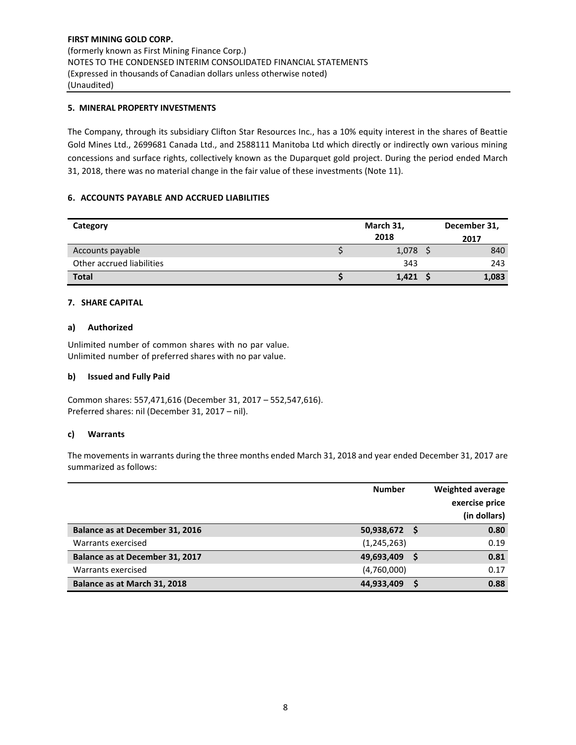## **5. MINERAL PROPERTY INVESTMENTS**

The Company, through its subsidiary Clifton Star Resources Inc., has a 10% equity interest in the shares of Beattie Gold Mines Ltd., 2699681 Canada Ltd., and 2588111 Manitoba Ltd which directly or indirectly own various mining concessions and surface rights, collectively known as the Duparquet gold project. During the period ended March 31, 2018, there was no material change in the fair value of these investments (Note 11).

## **6. ACCOUNTS PAYABLE AND ACCRUED LIABILITIES**

| Category                  | March 31, |            |  | December 31, |  |  |
|---------------------------|-----------|------------|--|--------------|--|--|
|                           |           | 2018       |  | 2017         |  |  |
| Accounts payable          |           | $1,078$ \$ |  | 840          |  |  |
| Other accrued liabilities |           | 343        |  | 243          |  |  |
| <b>Total</b>              |           | 1,421      |  | 1,083        |  |  |

#### **7. SHARE CAPITAL**

#### **a) Authorized**

Unlimited number of common shares with no par value. Unlimited number of preferred shares with no par value.

#### **b) Issued and Fully Paid**

Common shares: 557,471,616 (December 31, 2017 – 552,547,616). Preferred shares: nil (December 31, 2017 – nil).

#### **c) Warrants**

The movements in warrants during the three months ended March 31, 2018 and year ended December 31, 2017 are summarized as follows:

|                                 | <b>Number</b> | Weighted average<br>exercise price<br>(in dollars) |
|---------------------------------|---------------|----------------------------------------------------|
| Balance as at December 31, 2016 | 50,938,672 \$ | 0.80                                               |
| Warrants exercised              | (1, 245, 263) | 0.19                                               |
| Balance as at December 31, 2017 | 49,693,409    | 0.81                                               |
| Warrants exercised              | (4,760,000)   | 0.17                                               |
| Balance as at March 31, 2018    | 44,933,409    | 0.88                                               |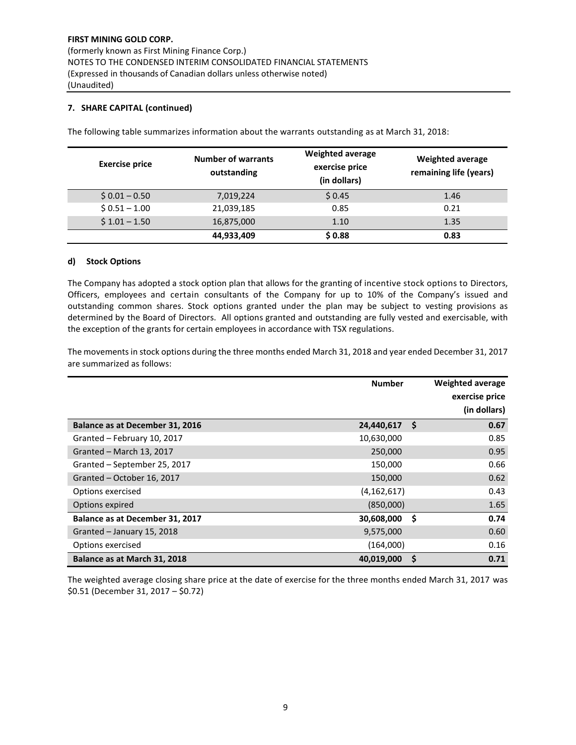## **7. SHARE CAPITAL (continued)**

| <b>Exercise price</b> | <b>Number of warrants</b><br>outstanding | <b>Weighted average</b><br>exercise price<br>(in dollars) | <b>Weighted average</b><br>remaining life (years) |
|-----------------------|------------------------------------------|-----------------------------------------------------------|---------------------------------------------------|
| $$0.01 - 0.50$        | 7,019,224                                | \$0.45                                                    | 1.46                                              |
| $$0.51 - 1.00$        | 21,039,185                               | 0.85                                                      | 0.21                                              |
| $$1.01 - 1.50$        | 16,875,000                               | 1.10                                                      | 1.35                                              |
|                       | 44,933,409                               | \$0.88                                                    | 0.83                                              |

The following table summarizes information about the warrants outstanding as at March 31, 2018:

#### **d) Stock Options**

The Company has adopted a stock option plan that allows for the granting of incentive stock options to Directors, Officers, employees and certain consultants of the Company for up to 10% of the Company's issued and outstanding common shares. Stock options granted under the plan may be subject to vesting provisions as determined by the Board of Directors. All options granted and outstanding are fully vested and exercisable, with the exception of the grants for certain employees in accordance with TSX regulations.

The movements in stock options during the three months ended March 31, 2018 and year ended December 31, 2017 are summarized as follows:

|                                 | <b>Number</b> |     | <b>Weighted average</b><br>exercise price<br>(in dollars) |
|---------------------------------|---------------|-----|-----------------------------------------------------------|
| Balance as at December 31, 2016 | 24,440,617    | \$. | 0.67                                                      |
| Granted - February 10, 2017     | 10,630,000    |     | 0.85                                                      |
| Granted - March 13, 2017        | 250,000       |     | 0.95                                                      |
| Granted - September 25, 2017    | 150,000       |     | 0.66                                                      |
| Granted - October 16, 2017      | 150,000       |     | 0.62                                                      |
| Options exercised               | (4, 162, 617) |     | 0.43                                                      |
| Options expired                 | (850,000)     |     | 1.65                                                      |
| Balance as at December 31, 2017 | 30,608,000    | -\$ | 0.74                                                      |
| Granted - January 15, 2018      | 9,575,000     |     | 0.60                                                      |
| Options exercised               | (164,000)     |     | 0.16                                                      |
| Balance as at March 31, 2018    | 40,019,000    | S   | 0.71                                                      |

The weighted average closing share price at the date of exercise for the three months ended March 31, 2017 was \$0.51 (December 31, 2017 – \$0.72)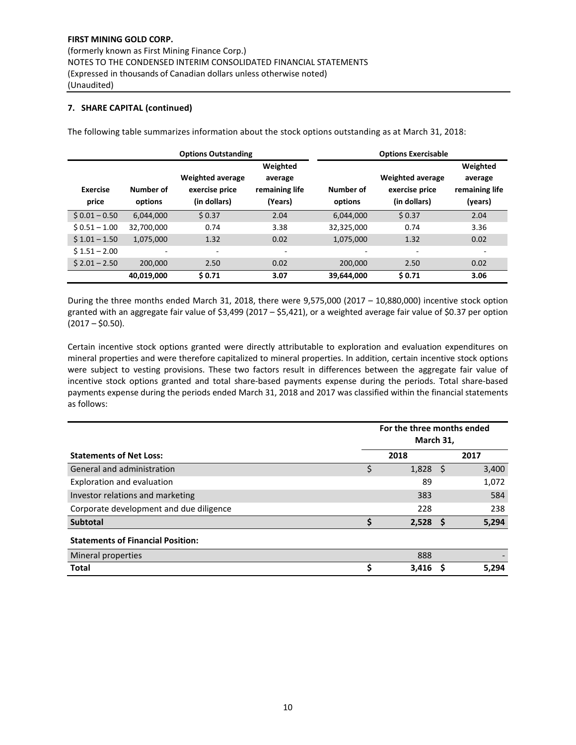## **7. SHARE CAPITAL (continued)**

|                          |                      | <b>Options Outstanding</b>                                | <b>Options Exercisable</b>                       |                      |                                                           |                                                  |  |
|--------------------------|----------------------|-----------------------------------------------------------|--------------------------------------------------|----------------------|-----------------------------------------------------------|--------------------------------------------------|--|
| <b>Exercise</b><br>price | Number of<br>options | <b>Weighted average</b><br>exercise price<br>(in dollars) | Weighted<br>average<br>remaining life<br>(Years) | Number of<br>options | <b>Weighted average</b><br>exercise price<br>(in dollars) | Weighted<br>average<br>remaining life<br>(years) |  |
| $$0.01 - 0.50$           | 6,044,000            | \$0.37                                                    | 2.04                                             | 6,044,000            | \$0.37                                                    | 2.04                                             |  |
| $$0.51 - 1.00$           | 32,700,000           | 0.74                                                      | 3.38                                             | 32,325,000           | 0.74                                                      | 3.36                                             |  |
| $$1.01 - 1.50$           | 1.075.000            | 1.32                                                      | 0.02                                             | 1,075,000            | 1.32                                                      | 0.02                                             |  |
| $$1.51 - 2.00$           | ٠                    | ٠                                                         | ٠                                                | -                    | ٠                                                         | ٠                                                |  |
| $$2.01 - 2.50$           | 200,000              | 2.50                                                      | 0.02                                             | 200,000              | 2.50                                                      | 0.02                                             |  |
|                          | 40,019,000           | \$0.71                                                    | 3.07                                             | 39,644,000           | \$0.71                                                    | 3.06                                             |  |

The following table summarizes information about the stock options outstanding as at March 31, 2018:

During the three months ended March 31, 2018, there were 9,575,000 (2017 – 10,880,000) incentive stock option granted with an aggregate fair value of \$3,499 (2017 – \$5,421), or a weighted average fair value of \$0.37 per option  $(2017 - $0.50)$ .

Certain incentive stock options granted were directly attributable to exploration and evaluation expenditures on mineral properties and were therefore capitalized to mineral properties. In addition, certain incentive stock options were subject to vesting provisions. These two factors result in differences between the aggregate fair value of incentive stock options granted and total share-based payments expense during the periods. Total share-based payments expense during the periods ended March 31, 2018 and 2017 was classified within the financial statements as follows:

|                                          | For the three months ended<br>March 31, |       |    |       |  |  |  |
|------------------------------------------|-----------------------------------------|-------|----|-------|--|--|--|
| <b>Statements of Net Loss:</b>           |                                         | 2018  |    | 2017  |  |  |  |
| General and administration               |                                         | 1,828 | -S | 3,400 |  |  |  |
| Exploration and evaluation               |                                         | 89    |    | 1,072 |  |  |  |
| Investor relations and marketing         |                                         | 383   |    | 584   |  |  |  |
| Corporate development and due diligence  |                                         | 228   |    | 238   |  |  |  |
| <b>Subtotal</b>                          |                                         | 2,528 | -S | 5,294 |  |  |  |
| <b>Statements of Financial Position:</b> |                                         |       |    |       |  |  |  |
| Mineral properties                       |                                         | 888   |    |       |  |  |  |
| <b>Total</b>                             |                                         | 3,416 | S  | 5,294 |  |  |  |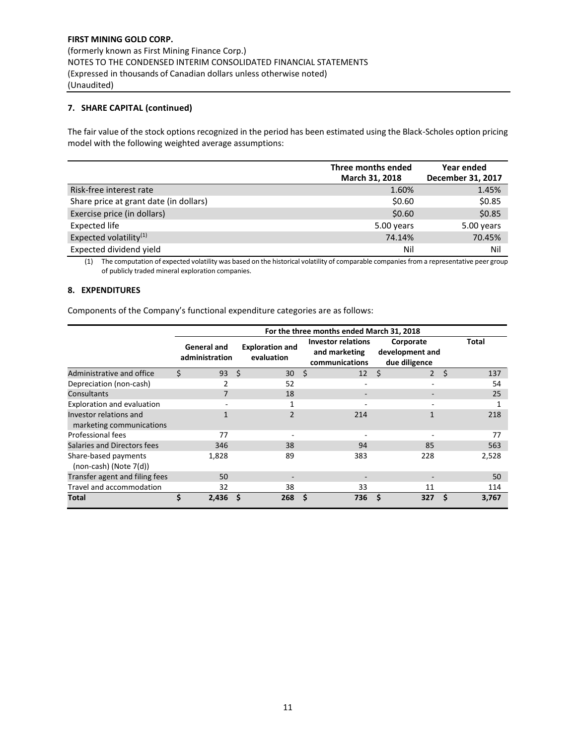## **7. SHARE CAPITAL (continued)**

The fair value of the stock options recognized in the period has been estimated using the Black-Scholes option pricing model with the following weighted average assumptions:

|                                        | Three months ended<br>March 31, 2018 | Year ended<br>December 31, 2017 |
|----------------------------------------|--------------------------------------|---------------------------------|
| Risk-free interest rate                | 1.60%                                | 1.45%                           |
| Share price at grant date (in dollars) | \$0.60                               | \$0.85                          |
| Exercise price (in dollars)            | \$0.60                               | \$0.85                          |
| Expected life                          | 5.00 years                           | 5.00 years                      |
| Expected volatility $(1)$              | 74.14%                               | 70.45%                          |
| Expected dividend yield                | Nil                                  | Nil                             |

(1) The computation of expected volatility was based on the historical volatility of comparable companies from a representative peer group of publicly traded mineral exploration companies.

#### **8. EXPENDITURES**

Components of the Company's functional expenditure categories are as follows:

|                                                     | For the three months ended March 31, 2018 |                                      |                                                              |                                               |              |  |  |  |  |  |
|-----------------------------------------------------|-------------------------------------------|--------------------------------------|--------------------------------------------------------------|-----------------------------------------------|--------------|--|--|--|--|--|
|                                                     | <b>General and</b><br>administration      | <b>Exploration and</b><br>evaluation | <b>Investor relations</b><br>and marketing<br>communications | Corporate<br>development and<br>due diligence | <b>Total</b> |  |  |  |  |  |
| Administrative and office                           | Ś<br>93                                   | S.<br>30                             | Ŝ.<br>12                                                     | Ŝ.<br>$\overline{2}$                          | Ś.<br>137    |  |  |  |  |  |
| Depreciation (non-cash)                             | 2                                         | 52                                   |                                                              |                                               | 54           |  |  |  |  |  |
| Consultants                                         | 7                                         | 18                                   |                                                              |                                               | 25           |  |  |  |  |  |
| Exploration and evaluation                          |                                           |                                      |                                                              |                                               |              |  |  |  |  |  |
| Investor relations and<br>marketing communications  |                                           | $\overline{2}$                       | 214                                                          |                                               | 218          |  |  |  |  |  |
| Professional fees                                   | 77                                        |                                      |                                                              |                                               | 77           |  |  |  |  |  |
| Salaries and Directors fees                         | 346                                       | 38                                   | 94                                                           | 85                                            | 563          |  |  |  |  |  |
| Share-based payments<br>$(non-cash)$ (Note $7(d)$ ) | 1,828                                     | 89                                   | 383                                                          | 228                                           | 2,528        |  |  |  |  |  |
| Transfer agent and filing fees                      | 50                                        |                                      |                                                              |                                               | 50           |  |  |  |  |  |
| Travel and accommodation                            | 32                                        | 38                                   | 33                                                           | 11                                            | 114          |  |  |  |  |  |
| Total                                               | \$<br>2,436                               | S<br>268                             | \$<br>736                                                    | Ŝ.<br>327                                     | S<br>3,767   |  |  |  |  |  |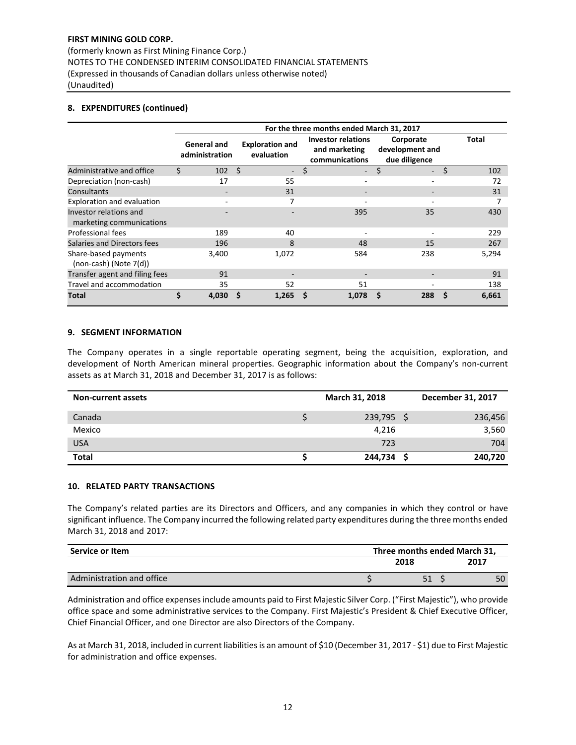(formerly known as First Mining Finance Corp.) NOTES TO THE CONDENSED INTERIM CONSOLIDATED FINANCIAL STATEMENTS (Expressed in thousands of Canadian dollars unless otherwise noted) (Unaudited)

## **8. EXPENDITURES (continued)**

|                                                     | For the three months ended March 31, 2017 |      |                                      |    |                                                              |                                               |    |              |  |  |
|-----------------------------------------------------|-------------------------------------------|------|--------------------------------------|----|--------------------------------------------------------------|-----------------------------------------------|----|--------------|--|--|
|                                                     | <b>General and</b><br>administration      |      | <b>Exploration and</b><br>evaluation |    | <b>Investor relations</b><br>and marketing<br>communications | Corporate<br>development and<br>due diligence |    | <b>Total</b> |  |  |
| Administrative and office                           | Ś.<br>102                                 | - \$ | $\overline{\phantom{0}}$             | \$ | $\overline{\phantom{a}}$                                     | \$<br>$\sim$                                  | \$ | 102          |  |  |
| Depreciation (non-cash)                             | 17                                        |      | 55                                   |    | ۰                                                            |                                               |    | 72           |  |  |
| Consultants                                         |                                           |      | 31                                   |    | -                                                            |                                               |    | 31           |  |  |
| Exploration and evaluation                          |                                           |      | 7                                    |    |                                                              |                                               |    |              |  |  |
| Investor relations and<br>marketing communications  |                                           |      |                                      |    | 395                                                          | 35                                            |    | 430          |  |  |
| Professional fees                                   | 189                                       |      | 40                                   |    |                                                              |                                               |    | 229          |  |  |
| Salaries and Directors fees                         | 196                                       |      | 8                                    |    | 48                                                           | 15                                            |    | 267          |  |  |
| Share-based payments<br>$(non-cash)$ (Note $7(d)$ ) | 3,400                                     |      | 1,072                                |    | 584                                                          | 238                                           |    | 5,294        |  |  |
| Transfer agent and filing fees                      | 91                                        |      |                                      |    |                                                              |                                               |    | 91           |  |  |
| Travel and accommodation                            | 35                                        |      | 52                                   |    | 51                                                           |                                               |    | 138          |  |  |
| <b>Total</b>                                        | \$<br>4,030                               |      | 1,265                                |    | 1,078                                                        | 288                                           | S  | 6,661        |  |  |

#### **9. SEGMENT INFORMATION**

The Company operates in a single reportable operating segment, being the acquisition, exploration, and development of North American mineral properties. Geographic information about the Company's non-current assets as at March 31, 2018 and December 31, 2017 is as follows:

| <b>Non-current assets</b> | March 31, 2018 | December 31, 2017 |
|---------------------------|----------------|-------------------|
| Canada                    | 239,795        | 236,456           |
| Mexico                    | 4,216          | 3,560             |
| <b>USA</b>                | 723            | 704               |
| <b>Total</b>              | 244,734        | 240,720           |

#### **10. RELATED PARTY TRANSACTIONS**

The Company's related parties are its Directors and Officers, and any companies in which they control or have significant influence. The Company incurred the following related party expenditures during the three months ended March 31, 2018 and 2017:

| Service or Item           | Three months ended March 31. |      |  |  |  |  |
|---------------------------|------------------------------|------|--|--|--|--|
|                           | 2018                         | 2017 |  |  |  |  |
| Administration and office |                              | 50   |  |  |  |  |

expenses Administration and office expenses include amounts paid to First Majestic Silver Corp. ("First Majestic"), who provide office space and some administrative services to the Company. First Majestic's President & Chief Executive Officer, Chief Financial Officer, and one Director are also Directors of the Company.

As at March 31, 2018, included in current liabilities is an amount of \$10 (December 31, 2017 - \$1) due to First Majestic for administration and office expenses.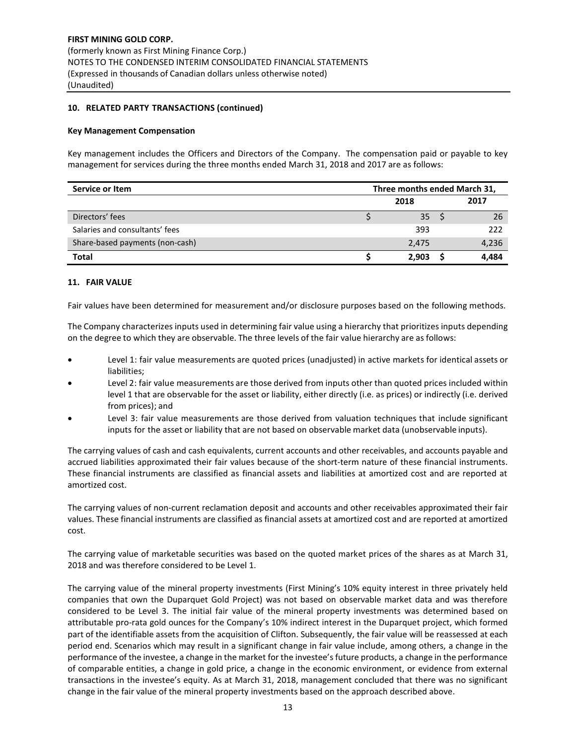## **10. RELATED PARTY TRANSACTIONS (continued)**

#### **Key Management Compensation**

Key management includes the Officers and Directors of the Company. The compensation paid or payable to key management for services during the three months ended March 31, 2018 and 2017 are as follows:

| Service or Item                 | Three months ended March 31, |       |  |       |  |
|---------------------------------|------------------------------|-------|--|-------|--|
|                                 |                              | 2018  |  | 2017  |  |
| Directors' fees                 |                              | 35    |  | 26    |  |
| Salaries and consultants' fees  |                              | 393   |  | 222   |  |
| Share-based payments (non-cash) |                              | 2,475 |  | 4,236 |  |
| <b>Total</b>                    |                              | 2.903 |  | 4.484 |  |

#### **11. FAIR VALUE**

Fair values have been determined for measurement and/or disclosure purposes based on the following methods.

The Company characterizes inputs used in determining fair value using a hierarchy that prioritizes inputs depending on the degree to which they are observable. The three levels of the fair value hierarchy are as follows:

- Level 1: fair value measurements are quoted prices (unadjusted) in active markets for identical assets or liabilities;
- Level 2: fair value measurements are those derived from inputs other than quoted prices included within level 1 that are observable for the asset or liability, either directly (i.e. as prices) or indirectly (i.e. derived from prices); and
- Level 3: fair value measurements are those derived from valuation techniques that include significant inputs for the asset or liability that are not based on observable market data (unobservable inputs).

The carrying values of cash and cash equivalents, current accounts and other receivables, and accounts payable and accrued liabilities approximated their fair values because of the short-term nature of these financial instruments. These financial instruments are classified as financial assets and liabilities at amortized cost and are reported at amortized cost.

The carrying values of non-current reclamation deposit and accounts and other receivables approximated their fair values. These financial instruments are classified as financial assets at amortized cost and are reported at amortized cost.

The carrying value of marketable securities was based on the quoted market prices of the shares as at March 31, 2018 and was therefore considered to be Level 1.

The carrying value of the mineral property investments (First Mining's 10% equity interest in three privately held companies that own the Duparquet Gold Project) was not based on observable market data and was therefore considered to be Level 3. The initial fair value of the mineral property investments was determined based on attributable pro-rata gold ounces for the Company's 10% indirect interest in the Duparquet project, which formed part of the identifiable assets from the acquisition of Clifton. Subsequently, the fair value will be reassessed at each period end. Scenarios which may result in a significant change in fair value include, among others, a change in the performance of the investee, a change in the market for the investee's future products, a change in the performance of comparable entities, a change in gold price, a change in the economic environment, or evidence from external transactions in the investee's equity. As at March 31, 2018, management concluded that there was no significant change in the fair value of the mineral property investments based on the approach described above.